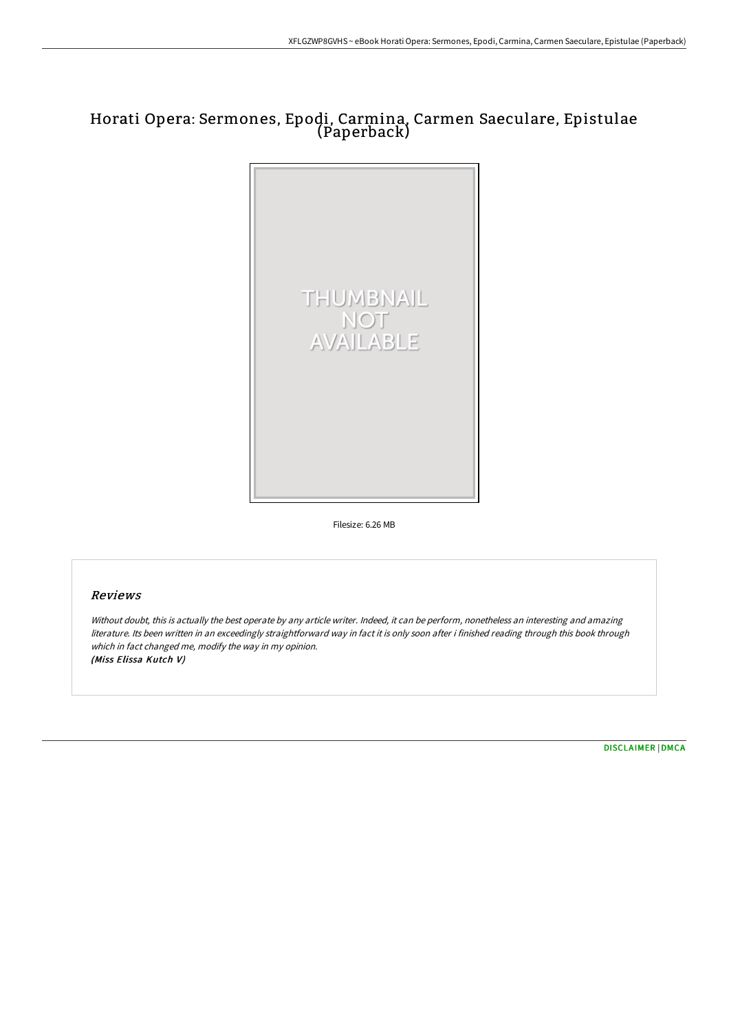# Horati Opera: Sermones, Epodi, Carmina, Carmen Saeculare, Epistulae (Paperback)



Filesize: 6.26 MB

# Reviews

Without doubt, this is actually the best operate by any article writer. Indeed, it can be perform, nonetheless an interesting and amazing literature. Its been written in an exceedingly straightforward way in fact it is only soon after i finished reading through this book through which in fact changed me, modify the way in my opinion. (Miss Elissa Kutch V)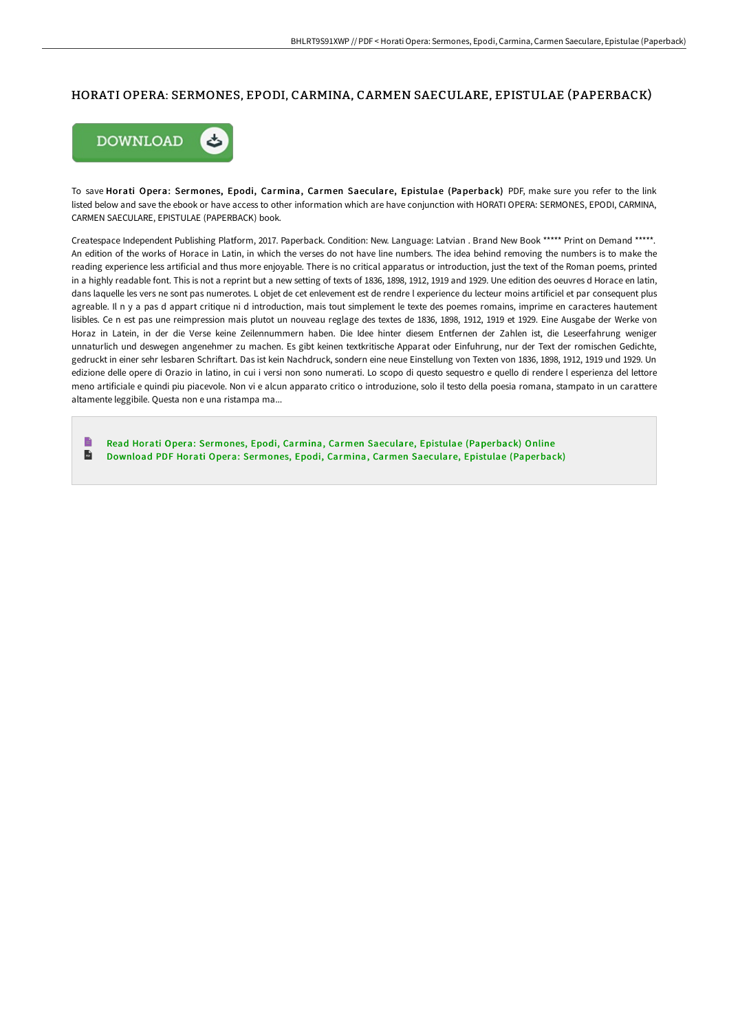# HORATI OPERA: SERMONES, EPODI, CARMINA, CARMEN SAECULARE, EPISTULAE (PAPERBACK)



To save Horati Opera: Sermones, Epodi, Carmina, Carmen Saeculare, Epistulae (Paperback) PDF, make sure you refer to the link listed below and save the ebook or have access to other information which are have conjunction with HORATI OPERA: SERMONES, EPODI, CARMINA, CARMEN SAECULARE, EPISTULAE (PAPERBACK) book.

Createspace Independent Publishing Platform, 2017. Paperback. Condition: New. Language: Latvian . Brand New Book \*\*\*\*\* Print on Demand \*\*\*\*\*. An edition of the works of Horace in Latin, in which the verses do not have line numbers. The idea behind removing the numbers is to make the reading experience less artificial and thus more enjoyable. There is no critical apparatus or introduction, just the text of the Roman poems, printed in a highly readable font. This is not a reprint but a new setting of texts of 1836, 1898, 1912, 1919 and 1929. Une edition des oeuvres d Horace en latin, dans laquelle les vers ne sont pas numerotes. L objet de cet enlevement est de rendre l experience du lecteur moins artificiel et par consequent plus agreable. Il n y a pas d appart critique ni d introduction, mais tout simplement le texte des poemes romains, imprime en caracteres hautement lisibles. Ce n est pas une reimpression mais plutot un nouveau reglage des textes de 1836, 1898, 1912, 1919 et 1929. Eine Ausgabe der Werke von Horaz in Latein, in der die Verse keine Zeilennummern haben. Die Idee hinter diesem Entfernen der Zahlen ist, die Leseerfahrung weniger unnaturlich und deswegen angenehmer zu machen. Es gibt keinen textkritische Apparat oder Einfuhrung, nur der Text der romischen Gedichte, gedruckt in einer sehr lesbaren SchriEart. Das ist kein Nachdruck, sondern eine neue Einstellung von Texten von 1836, 1898, 1912, 1919 und 1929. Un edizione delle opere di Orazio in latino, in cui i versi non sono numerati. Lo scopo di questo sequestro e quello di rendere l esperienza del lettore meno artificiale e quindi piu piacevole. Non vi e alcun apparato critico o introduzione, solo il testo della poesia romana, stampato in un carattere altamente leggibile. Questa non e una ristampa ma...

B Read Horati Opera: Sermones, Epodi, Carmina, Carmen Saeculare, Epistulae [\(Paperback\)](http://techno-pub.tech/horati-opera-sermones-epodi-carmina-carmen-saecu.html) Online  $\overline{\mathbf{m}}$ Download PDF Horati Opera: Sermones, Epodi, Carmina, Carmen Saeculare, Epistulae [\(Paperback\)](http://techno-pub.tech/horati-opera-sermones-epodi-carmina-carmen-saecu.html)